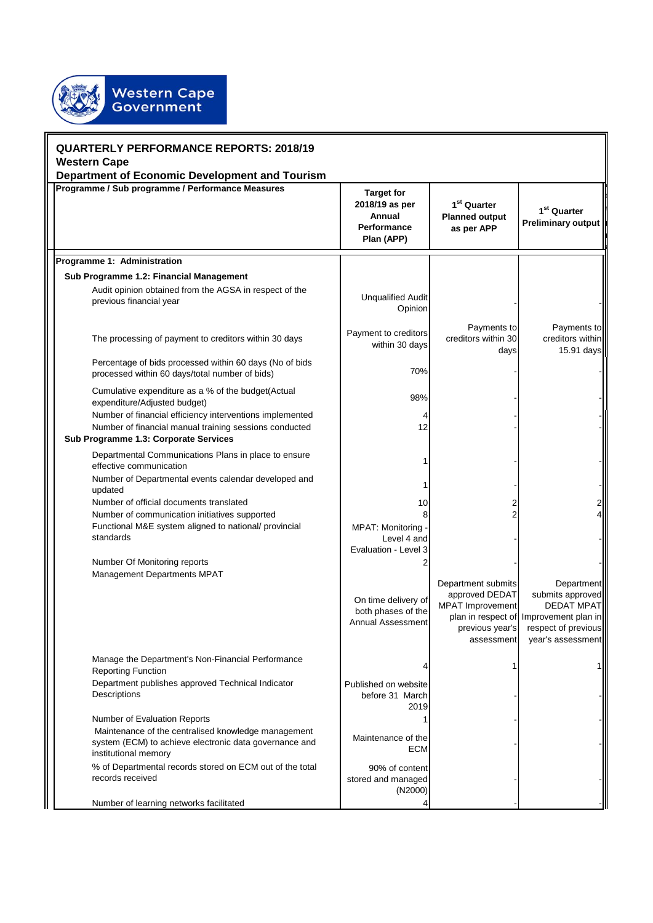

| <b>QUARTERLY PERFORMANCE REPORTS: 2018/19</b><br><b>Western Cape</b>                                                                                        |                                                                            |                                                                                                  |                                                                                                                                                   |  |  |
|-------------------------------------------------------------------------------------------------------------------------------------------------------------|----------------------------------------------------------------------------|--------------------------------------------------------------------------------------------------|---------------------------------------------------------------------------------------------------------------------------------------------------|--|--|
| <b>Department of Economic Development and Tourism</b>                                                                                                       |                                                                            |                                                                                                  |                                                                                                                                                   |  |  |
| Programme / Sub programme / Performance Measures                                                                                                            | <b>Target for</b><br>2018/19 as per<br>Annual<br>Performance<br>Plan (APP) | 1 <sup>st</sup> Quarter<br><b>Planned output</b><br>as per APP                                   | 1 <sup>st</sup> Quarter<br><b>Preliminary output</b>                                                                                              |  |  |
| Programme 1: Administration                                                                                                                                 |                                                                            |                                                                                                  |                                                                                                                                                   |  |  |
| Sub Programme 1.2: Financial Management                                                                                                                     |                                                                            |                                                                                                  |                                                                                                                                                   |  |  |
| Audit opinion obtained from the AGSA in respect of the<br>previous financial year                                                                           | <b>Unqualified Audit</b><br>Opinion                                        |                                                                                                  |                                                                                                                                                   |  |  |
| The processing of payment to creditors within 30 days                                                                                                       | Payment to creditors<br>within 30 days                                     | Payments to<br>creditors within 30<br>days                                                       | Payments to<br>creditors within<br>15.91 days                                                                                                     |  |  |
| Percentage of bids processed within 60 days (No of bids<br>processed within 60 days/total number of bids)                                                   | 70%                                                                        |                                                                                                  |                                                                                                                                                   |  |  |
| Cumulative expenditure as a % of the budget(Actual<br>expenditure/Adjusted budget)                                                                          | 98%                                                                        |                                                                                                  |                                                                                                                                                   |  |  |
| Number of financial efficiency interventions implemented<br>Number of financial manual training sessions conducted<br>Sub Programme 1.3: Corporate Services | 12                                                                         |                                                                                                  |                                                                                                                                                   |  |  |
| Departmental Communications Plans in place to ensure<br>effective communication                                                                             |                                                                            |                                                                                                  |                                                                                                                                                   |  |  |
| Number of Departmental events calendar developed and<br>updated                                                                                             |                                                                            |                                                                                                  |                                                                                                                                                   |  |  |
| Number of official documents translated<br>Number of communication initiatives supported                                                                    | 10                                                                         |                                                                                                  |                                                                                                                                                   |  |  |
| Functional M&E system aligned to national/ provincial<br>standards                                                                                          | <b>MPAT: Monitoring</b><br>Level 4 and<br>Evaluation - Level 3             |                                                                                                  |                                                                                                                                                   |  |  |
| Number Of Monitoring reports                                                                                                                                |                                                                            |                                                                                                  |                                                                                                                                                   |  |  |
| Management Departments MPAT                                                                                                                                 | On time delivery of<br>both phases of the<br>Annual Assessment             | Department submits<br>approved DEDAT<br><b>MPAT</b> Improvement<br>previous year's<br>assessment | <b>Department</b><br>submits approved<br><b>DEDAT MPATI</b><br>plan in respect of Improvement plan in<br>respect of previous<br>year's assessment |  |  |
| Manage the Department's Non-Financial Performance<br><b>Reporting Function</b>                                                                              |                                                                            |                                                                                                  |                                                                                                                                                   |  |  |
| Department publishes approved Technical Indicator<br>Descriptions                                                                                           | Published on website<br>before 31 March<br>2019                            |                                                                                                  |                                                                                                                                                   |  |  |
| Number of Evaluation Reports                                                                                                                                |                                                                            |                                                                                                  |                                                                                                                                                   |  |  |
| Maintenance of the centralised knowledge management<br>system (ECM) to achieve electronic data governance and<br>institutional memory                       | Maintenance of the<br><b>ECM</b>                                           |                                                                                                  |                                                                                                                                                   |  |  |
| % of Departmental records stored on ECM out of the total<br>records received                                                                                | 90% of content<br>stored and managed<br>(N2000)                            |                                                                                                  |                                                                                                                                                   |  |  |
| Number of learning networks facilitated                                                                                                                     |                                                                            |                                                                                                  |                                                                                                                                                   |  |  |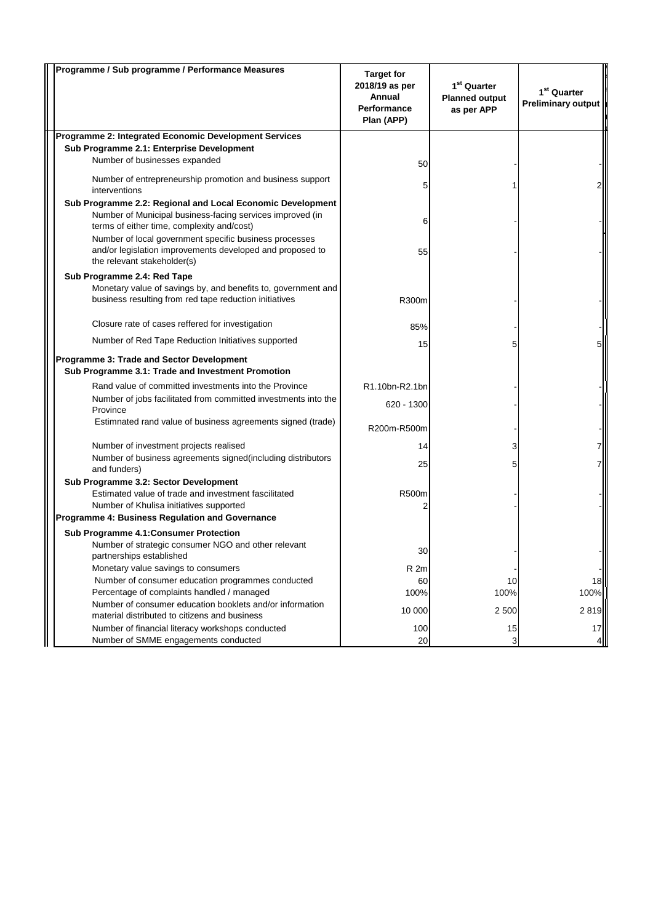| Programme / Sub programme / Performance Measures                                                                        | <b>Target for</b><br>2018/19 as per<br>Annual<br><b>Performance</b><br>Plan (APP) | $1st$ Quarter<br><b>Planned output</b><br>as per APP | 1 <sup>st</sup> Quarter<br><b>Preliminary output</b> |
|-------------------------------------------------------------------------------------------------------------------------|-----------------------------------------------------------------------------------|------------------------------------------------------|------------------------------------------------------|
| Programme 2: Integrated Economic Development Services                                                                   |                                                                                   |                                                      |                                                      |
| Sub Programme 2.1: Enterprise Development                                                                               |                                                                                   |                                                      |                                                      |
| Number of businesses expanded                                                                                           | 50                                                                                |                                                      |                                                      |
| Number of entrepreneurship promotion and business support<br>interventions                                              | 5                                                                                 |                                                      |                                                      |
| Sub Programme 2.2: Regional and Local Economic Development                                                              |                                                                                   |                                                      |                                                      |
| Number of Municipal business-facing services improved (in<br>terms of either time, complexity and/cost)                 | 6                                                                                 |                                                      |                                                      |
| Number of local government specific business processes                                                                  |                                                                                   |                                                      |                                                      |
| and/or legislation improvements developed and proposed to<br>the relevant stakeholder(s)                                | 55                                                                                |                                                      |                                                      |
| Sub Programme 2.4: Red Tape                                                                                             |                                                                                   |                                                      |                                                      |
| Monetary value of savings by, and benefits to, government and<br>business resulting from red tape reduction initiatives | R300m                                                                             |                                                      |                                                      |
| Closure rate of cases reffered for investigation                                                                        | 85%                                                                               |                                                      |                                                      |
| Number of Red Tape Reduction Initiatives supported                                                                      | 15                                                                                |                                                      |                                                      |
| Programme 3: Trade and Sector Development<br>Sub Programme 3.1: Trade and Investment Promotion                          |                                                                                   |                                                      |                                                      |
| Rand value of committed investments into the Province                                                                   | R1.10bn-R2.1bn                                                                    |                                                      |                                                      |
| Number of jobs facilitated from committed investments into the<br>Province                                              | 620 - 1300                                                                        |                                                      |                                                      |
| Estimnated rand value of business agreements signed (trade)                                                             | R200m-R500m                                                                       |                                                      |                                                      |
| Number of investment projects realised                                                                                  | 14                                                                                | 3                                                    |                                                      |
| Number of business agreements signed(including distributors<br>and funders)                                             | 25                                                                                |                                                      |                                                      |
| Sub Programme 3.2: Sector Development                                                                                   |                                                                                   |                                                      |                                                      |
| Estimated value of trade and investment fascilitated<br>Number of Khulisa initiatives supported                         | R500m                                                                             |                                                      |                                                      |
| Programme 4: Business Regulation and Governance                                                                         | 2                                                                                 |                                                      |                                                      |
| Sub Programme 4.1: Consumer Protection                                                                                  |                                                                                   |                                                      |                                                      |
| Number of strategic consumer NGO and other relevant                                                                     | 30                                                                                |                                                      |                                                      |
| partnerships established<br>Monetary value savings to consumers                                                         | R <sub>2m</sub>                                                                   |                                                      |                                                      |
| Number of consumer education programmes conducted                                                                       | 60                                                                                | 10                                                   | 18                                                   |
| Percentage of complaints handled / managed                                                                              | 100%                                                                              | 100%                                                 | 100%                                                 |
| Number of consumer education booklets and/or information<br>material distributed to citizens and business               | 10 000                                                                            | 2 500                                                | 2819                                                 |
| Number of financial literacy workshops conducted                                                                        | 100                                                                               | 15                                                   | 17                                                   |
| Number of SMME engagements conducted                                                                                    | 20                                                                                | З                                                    |                                                      |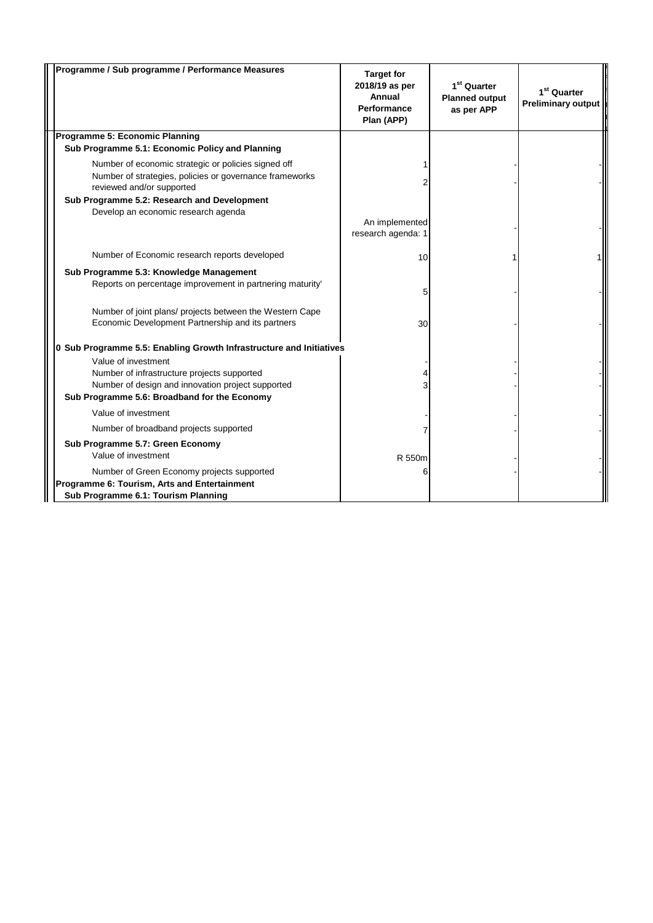| Programme / Sub programme / Performance Measures                                                                                            | <b>Target for</b><br>2018/19 as per<br>Annual<br><b>Performance</b><br>Plan (APP) | 1 <sup>st</sup> Quarter<br><b>Planned output</b><br>as per APP | 1 <sup>st</sup> Quarter<br><b>Preliminary output</b> |
|---------------------------------------------------------------------------------------------------------------------------------------------|-----------------------------------------------------------------------------------|----------------------------------------------------------------|------------------------------------------------------|
| Programme 5: Economic Planning                                                                                                              |                                                                                   |                                                                |                                                      |
| Sub Programme 5.1: Economic Policy and Planning                                                                                             |                                                                                   |                                                                |                                                      |
| Number of economic strategic or policies signed off<br>Number of strategies, policies or governance frameworks<br>reviewed and/or supported |                                                                                   |                                                                |                                                      |
| Sub Programme 5.2: Research and Development                                                                                                 |                                                                                   |                                                                |                                                      |
| Develop an economic research agenda                                                                                                         | An implemented<br>research agenda: 1                                              |                                                                |                                                      |
| Number of Economic research reports developed                                                                                               | 10                                                                                |                                                                |                                                      |
| Sub Programme 5.3: Knowledge Management                                                                                                     |                                                                                   |                                                                |                                                      |
| Reports on percentage improvement in partnering maturity'                                                                                   | 5                                                                                 |                                                                |                                                      |
| Number of joint plans/ projects between the Western Cape<br>Economic Development Partnership and its partners                               | 30                                                                                |                                                                |                                                      |
| 0 Sub Programme 5.5: Enabling Growth Infrastructure and Initiatives                                                                         |                                                                                   |                                                                |                                                      |
| Value of investment                                                                                                                         |                                                                                   |                                                                |                                                      |
| Number of infrastructure projects supported                                                                                                 |                                                                                   |                                                                |                                                      |
| Number of design and innovation project supported                                                                                           |                                                                                   |                                                                |                                                      |
| Sub Programme 5.6: Broadband for the Economy                                                                                                |                                                                                   |                                                                |                                                      |
| Value of investment                                                                                                                         |                                                                                   |                                                                |                                                      |
| Number of broadband projects supported                                                                                                      |                                                                                   |                                                                |                                                      |
| Sub Programme 5.7: Green Economy<br>Value of investment                                                                                     | R 550m                                                                            |                                                                |                                                      |
| Number of Green Economy projects supported                                                                                                  | 6                                                                                 |                                                                |                                                      |
| Programme 6: Tourism, Arts and Entertainment<br>Sub Programme 6.1: Tourism Planning                                                         |                                                                                   |                                                                |                                                      |